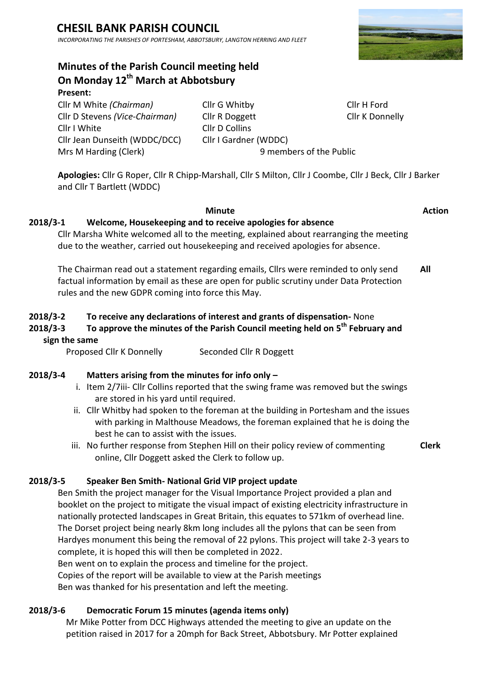# **CHESIL BANK PARISH COUNCIL**

*INCORPORATING THE PARISHES OF PORTESHAM, ABBOTSBURY, LANGTON HERRING AND FLEET*

# **Minutes of the Parish Council meeting held On Monday 12th March at Abbotsbury**

**Present:**

Cllr I White Cllr D Collins Cllr Jean Dunseith (WDDC/DCC) Cllr I Gardner (WDDC) Mrs M Harding (Clerk)9 members of the Public

Cllr M White *(Chairman)* Cllr G Whitby Cllr H Ford Cllr D Stevens *(Vice-Chairman)* Cllr R Doggett Cllr D Cllr K Donnelly

**Apologies:** Cllr G Roper, Cllr R Chipp-Marshall, Cllr S Milton, Cllr J Coombe, Cllr J Beck, Cllr J Barker and Cllr T Bartlett (WDDC)

#### **Minute Action**

### **2018/3-1 Welcome, Housekeeping and to receive apologies for absence**

Cllr Marsha White welcomed all to the meeting, explained about rearranging the meeting due to the weather, carried out housekeeping and received apologies for absence.

The Chairman read out a statement regarding emails, Cllrs were reminded to only send factual information by email as these are open for public scrutiny under Data Protection rules and the new GDPR coming into force this May. **All**

### **2018/3-2 To receive any declarations of interest and grants of dispensation-** None

# **2018/3-3 To approve the minutes of the Parish Council meeting held on 5 th February and sign the same**

Proposed Cllr K Donnelly Seconded Cllr R Doggett

#### **2018/3-4 Matters arising from the minutes for info only –**

- i. Item 2/7iii- Cllr Collins reported that the swing frame was removed but the swings are stored in his yard until required.
- ii. Cllr Whitby had spoken to the foreman at the building in Portesham and the issues with parking in Malthouse Meadows, the foreman explained that he is doing the best he can to assist with the issues.
- iii. No further response from Stephen Hill on their policy review of commenting online, Cllr Doggett asked the Clerk to follow up. **Clerk**

#### **2018/3-5 Speaker Ben Smith- National Grid VIP project update**

Ben Smith the project manager for the Visual Importance Project provided a plan and booklet on the project to mitigate the visual impact of existing electricity infrastructure in nationally protected landscapes in Great Britain, this equates to 571km of overhead line. The Dorset project being nearly 8km long includes all the pylons that can be seen from Hardyes monument this being the removal of 22 pylons. This project will take 2-3 years to complete, it is hoped this will then be completed in 2022.

Ben went on to explain the process and timeline for the project.

Copies of the report will be available to view at the Parish meetings

Ben was thanked for his presentation and left the meeting.

#### **2018/3-6 Democratic Forum 15 minutes (agenda items only)**

Mr Mike Potter from DCC Highways attended the meeting to give an update on the petition raised in 2017 for a 20mph for Back Street, Abbotsbury. Mr Potter explained

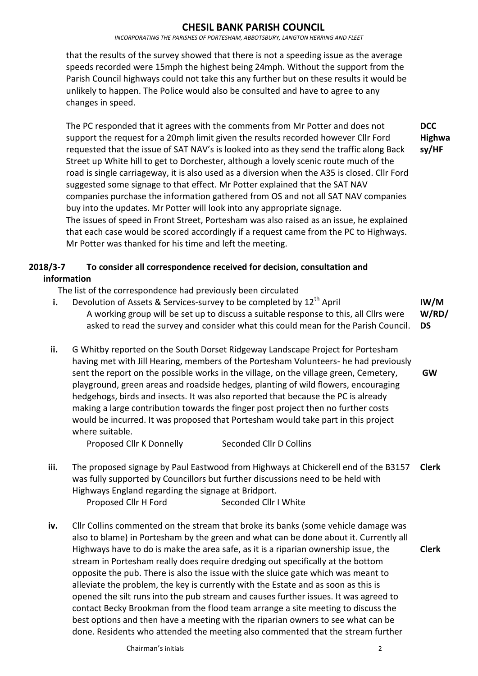*INCORPORATING THE PARISHES OF PORTESHAM, ABBOTSBURY, LANGTON HERRING AND FLEET*

that the results of the survey showed that there is not a speeding issue as the average speeds recorded were 15mph the highest being 24mph. Without the support from the Parish Council highways could not take this any further but on these results it would be unlikely to happen. The Police would also be consulted and have to agree to any changes in speed.

The PC responded that it agrees with the comments from Mr Potter and does not support the request for a 20mph limit given the results recorded however Cllr Ford requested that the issue of SAT NAV's is looked into as they send the traffic along Back Street up White hill to get to Dorchester, although a lovely scenic route much of the road is single carriageway, it is also used as a diversion when the A35 is closed. Cllr Ford suggested some signage to that effect. Mr Potter explained that the SAT NAV companies purchase the information gathered from OS and not all SAT NAV companies buy into the updates. Mr Potter will look into any appropriate signage. The issues of speed in Front Street, Portesham was also raised as an issue, he explained that each case would be scored accordingly if a request came from the PC to Highways. Mr Potter was thanked for his time and left the meeting. **DCC Highwa sy/HF**

# **2018/3-7 To consider all correspondence received for decision, consultation and information**

The list of the correspondence had previously been circulated

- **i.** Devolution of Assets & Services-survey to be completed by  $12<sup>th</sup>$  April A working group will be set up to discuss a suitable response to this, all Cllrs were asked to read the survey and consider what this could mean for the Parish Council. **IW/M W/RD/ DS**
- **ii.** G Whitby reported on the South Dorset Ridgeway Landscape Project for Portesham having met with Jill Hearing, members of the Portesham Volunteers- he had previously sent the report on the possible works in the village, on the village green, Cemetery, playground, green areas and roadside hedges, planting of wild flowers, encouraging hedgehogs, birds and insects. It was also reported that because the PC is already making a large contribution towards the finger post project then no further costs would be incurred. It was proposed that Portesham would take part in this project where suitable. **GW**

Proposed Cllr K Donnelly Seconded Cllr D Collins

**iii.** The proposed signage by Paul Eastwood from Highways at Chickerell end of the B3157 was fully supported by Councillors but further discussions need to be held with Highways England regarding the signage at Bridport. **Clerk**

Proposed Cllr H Ford Seconded Cllr I White

**iv.** Cllr Collins commented on the stream that broke its banks (some vehicle damage was also to blame) in Portesham by the green and what can be done about it. Currently all Highways have to do is make the area safe, as it is a riparian ownership issue, the stream in Portesham really does require dredging out specifically at the bottom opposite the pub. There is also the issue with the sluice gate which was meant to alleviate the problem, the key is currently with the Estate and as soon as this is opened the silt runs into the pub stream and causes further issues. It was agreed to contact Becky Brookman from the flood team arrange a site meeting to discuss the best options and then have a meeting with the riparian owners to see what can be done. Residents who attended the meeting also commented that the stream further **Clerk**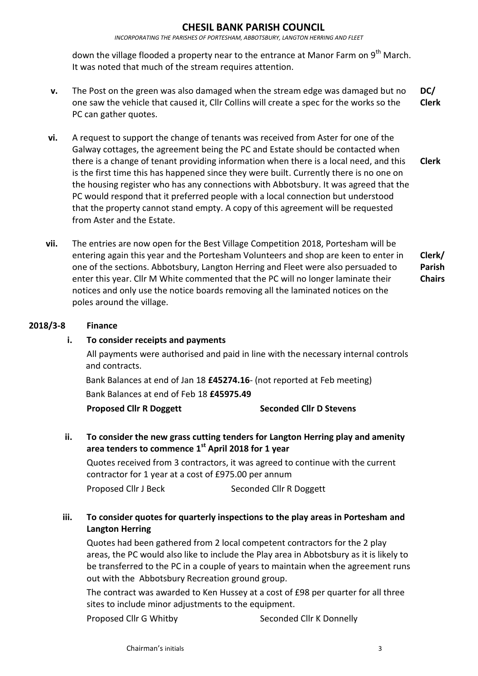#### **CHESIL BANK PARISH COUNCIL**

*INCORPORATING THE PARISHES OF PORTESHAM, ABBOTSBURY, LANGTON HERRING AND FLEET*

down the village flooded a property near to the entrance at Manor Farm on 9<sup>th</sup> March. It was noted that much of the stream requires attention.

- **v.** The Post on the green was also damaged when the stream edge was damaged but no one saw the vehicle that caused it, Cllr Collins will create a spec for the works so the PC can gather quotes. **DC/ Clerk**
- **vi.** A request to support the change of tenants was received from Aster for one of the Galway cottages, the agreement being the PC and Estate should be contacted when there is a change of tenant providing information when there is a local need, and this is the first time this has happened since they were built. Currently there is no one on the housing register who has any connections with Abbotsbury. It was agreed that the PC would respond that it preferred people with a local connection but understood that the property cannot stand empty. A copy of this agreement will be requested from Aster and the Estate. **Clerk**
- **vii.** The entries are now open for the Best Village Competition 2018, Portesham will be entering again this year and the Portesham Volunteers and shop are keen to enter in one of the sections. Abbotsbury, Langton Herring and Fleet were also persuaded to enter this year. Cllr M White commented that the PC will no longer laminate their notices and only use the notice boards removing all the laminated notices on the poles around the village. **Clerk/ Parish Chairs**

#### **2018/3-8 Finance**

#### **i. To consider receipts and payments**

All payments were authorised and paid in line with the necessary internal controls and contracts.

Bank Balances at end of Jan 18 **£45274.16**- (not reported at Feb meeting) Bank Balances at end of Feb 18 **£45975.49**

#### **Proposed Cllr R Doggett Seconded Cllr D Stevens**

**ii. To consider the new grass cutting tenders for Langton Herring play and amenity area tenders to commence 1 st April 2018 for 1 year**

Quotes received from 3 contractors, it was agreed to continue with the current contractor for 1 year at a cost of £975.00 per annum Proposed Cllr J Beck Seconded Cllr R Doggett

### **iii. To consider quotes for quarterly inspections to the play areas in Portesham and Langton Herring**

Quotes had been gathered from 2 local competent contractors for the 2 play areas, the PC would also like to include the Play area in Abbotsbury as it is likely to be transferred to the PC in a couple of years to maintain when the agreement runs out with the Abbotsbury Recreation ground group.

The contract was awarded to Ken Hussey at a cost of £98 per quarter for all three sites to include minor adjustments to the equipment.

Proposed Cllr G Whitby Seconded Cllr K Donnelly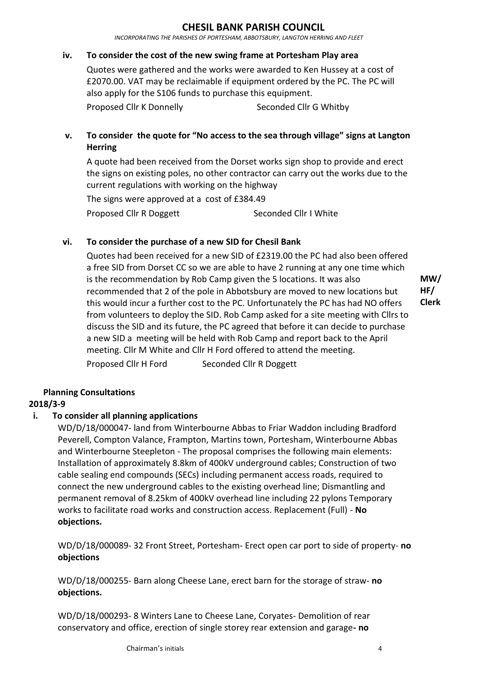#### **CHESIL BANK PARISH COUNCIL**

*INCORPORATING THE PARISHES OF PORTESHAM, ABBOTSBURY, LANGTON HERRING AND FLEET*

#### **iv. To consider the cost of the new swing frame at Portesham Play area**

Quotes were gathered and the works were awarded to Ken Hussey at a cost of £2070.00. VAT may be reclaimable if equipment ordered by the PC. The PC will also apply for the S106 funds to purchase this equipment.

Proposed Cllr K Donnelly Seconded Cllr G Whitby

### **v. To consider the quote for "No access to the sea through village" signs at Langton Herring**

A quote had been received from the Dorset works sign shop to provide and erect the signs on existing poles, no other contractor can carry out the works due to the current regulations with working on the highway

The signs were approved at a cost of £384.49 Proposed Cllr R Doggett Seconded Cllr I White

#### **vi. To consider the purchase of a new SID for Chesil Bank**

Quotes had been received for a new SID of £2319.00 the PC had also been offered a free SID from Dorset CC so we are able to have 2 running at any one time which is the recommendation by Rob Camp given the 5 locations. It was also recommended that 2 of the pole in Abbotsbury are moved to new locations but this would incur a further cost to the PC. Unfortunately the PC has had NO offers from volunteers to deploy the SID. Rob Camp asked for a site meeting with Cllrs to discuss the SID and its future, the PC agreed that before it can decide to purchase a new SID a meeting will be held with Rob Camp and report back to the April meeting. Cllr M White and Cllr H Ford offered to attend the meeting. Proposed Cllr H Ford Seconded Cllr R Doggett

**MW/ HF/ Clerk**

#### **Planning Consultations**

#### **2018/3-9**

#### **i. To consider all planning applications**

WD/D/18/000047- land from Winterbourne Abbas to Friar Waddon including Bradford Peverell, Compton Valance, Frampton, Martins town, Portesham, Winterbourne Abbas and Winterbourne Steepleton - The proposal comprises the following main elements: Installation of approximately 8.8km of 400kV underground cables; Construction of two cable sealing end compounds (SECs) including permanent access roads, required to connect the new underground cables to the existing overhead line; Dismantling and permanent removal of 8.25km of 400kV overhead line including 22 pylons Temporary works to facilitate road works and construction access. Replacement (Full) - **No objections.**

WD/D/18/000089- 32 Front Street, Portesham- Erect open car port to side of property- **no objections**

WD/D/18/000255- Barn along Cheese Lane, erect barn for the storage of straw- **no objections.**

WD/D/18/000293- 8 Winters Lane to Cheese Lane, Coryates- Demolition of rear conservatory and office, erection of single storey rear extension and garage**- no**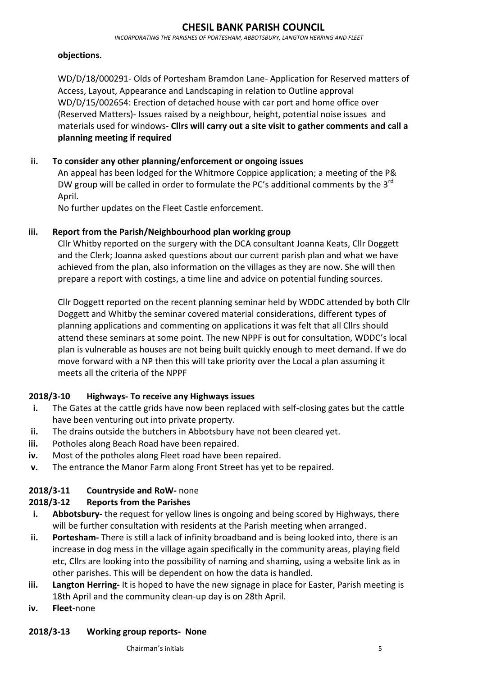*INCORPORATING THE PARISHES OF PORTESHAM, ABBOTSBURY, LANGTON HERRING AND FLEET*

#### **objections.**

WD/D/18/000291- Olds of Portesham Bramdon Lane- Application for Reserved matters of Access, Layout, Appearance and Landscaping in relation to Outline approval WD/D/15/002654: Erection of detached house with car port and home office over (Reserved Matters)- Issues raised by a neighbour, height, potential noise issues and materials used for windows- **Cllrs will carry out a site visit to gather comments and call a planning meeting if required**

## **ii. To consider any other planning/enforcement or ongoing issues**

An appeal has been lodged for the Whitmore Coppice application; a meeting of the P& DW group will be called in order to formulate the PC's additional comments by the 3<sup>rd</sup> April.

No further updates on the Fleet Castle enforcement.

### **iii. Report from the Parish/Neighbourhood plan working group**

Cllr Whitby reported on the surgery with the DCA consultant Joanna Keats, Cllr Doggett and the Clerk; Joanna asked questions about our current parish plan and what we have achieved from the plan, also information on the villages as they are now. She will then prepare a report with costings, a time line and advice on potential funding sources.

Cllr Doggett reported on the recent planning seminar held by WDDC attended by both Cllr Doggett and Whitby the seminar covered material considerations, different types of planning applications and commenting on applications it was felt that all Cllrs should attend these seminars at some point. The new NPPF is out for consultation, WDDC's local plan is vulnerable as houses are not being built quickly enough to meet demand. If we do move forward with a NP then this will take priority over the Local a plan assuming it meets all the criteria of the NPPF

#### **2018/3-10 Highways- To receive any Highways issues**

- **i.** The Gates at the cattle grids have now been replaced with self-closing gates but the cattle have been venturing out into private property.
- **ii.** The drains outside the butchers in Abbotsbury have not been cleared yet.
- **iii.** Potholes along Beach Road have been repaired.
- **iv.** Most of the potholes along Fleet road have been repaired.
- **v.** The entrance the Manor Farm along Front Street has yet to be repaired.

# **2018/3-11 Countryside and RoW-** none

# **2018/3-12 Reports from the Parishes**

- **i. Abbotsbury-** the request for yellow lines is ongoing and being scored by Highways, there will be further consultation with residents at the Parish meeting when arranged.
- **ii. Portesham-** There is still a lack of infinity broadband and is being looked into, there is an increase in dog mess in the village again specifically in the community areas, playing field etc, Cllrs are looking into the possibility of naming and shaming, using a website link as in other parishes. This will be dependent on how the data is handled.
- **iii. Langton Herring-** It is hoped to have the new signage in place for Easter, Parish meeting is 18th April and the community clean-up day is on 28th April.
- **iv. Fleet-**none

#### **2018/3-13 Working group reports- None**